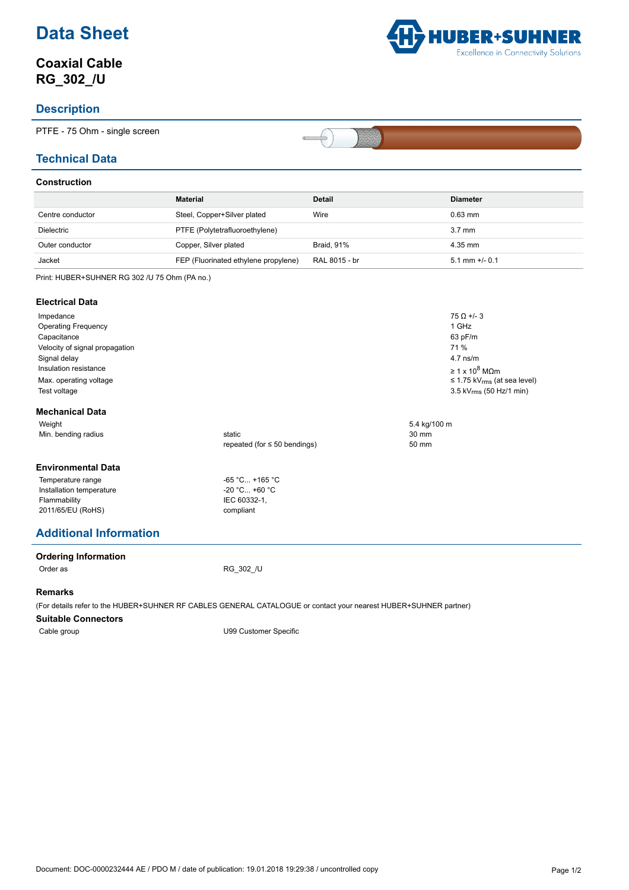# **Data Sheet**

# **Coaxial Cable RG\_302\_/U**

### **Description**

PTFE - 75 Ohm - single screen

### **Technical Data**

### **Construction**

|                   | Material                             | <b>Detail</b>     | <b>Diameter</b>     |
|-------------------|--------------------------------------|-------------------|---------------------|
| Centre conductor  | Steel, Copper+Silver plated          | Wire              | $0.63$ mm           |
| <b>Dielectric</b> | PTFE (Polytetrafluoroethylene)       |                   | $3.7 \text{ mm}$    |
| Outer conductor   | Copper, Silver plated                | <b>Braid. 91%</b> | 4.35 mm             |
| Jacket            | FEP (Fluorinated ethylene propylene) | RAL 8015 - br     | $5.1$ mm $+/$ - 0.1 |

 $\Rightarrow$  $\sigma$ 

Print: HUBER+SUHNER RG 302 /U 75 Ohm (PA no.)

#### **Electrical Data**

| Impedance<br><b>Operating Frequency</b><br>Capacitance<br>Velocity of signal propagation<br>Signal delay<br>Insulation resistance<br>Max. operating voltage<br>Test voltage |                                   |              | $75 \Omega + 3$<br>1 GHz<br>63 pF/m<br>71 %<br>$4.7$ ns/m<br>$\geq 1 \times 10^8$ MQm<br>$\leq$ 1.75 kV <sub>rms</sub> (at sea level)<br>3.5 kV $_{rms}$ (50 Hz/1 min) |
|-----------------------------------------------------------------------------------------------------------------------------------------------------------------------------|-----------------------------------|--------------|------------------------------------------------------------------------------------------------------------------------------------------------------------------------|
| <b>Mechanical Data</b>                                                                                                                                                      |                                   |              |                                                                                                                                                                        |
| Weight                                                                                                                                                                      |                                   | 5.4 kg/100 m |                                                                                                                                                                        |
| Min. bending radius                                                                                                                                                         | static                            | 30 mm        |                                                                                                                                                                        |
|                                                                                                                                                                             | repeated (for $\leq 50$ bendings) | 50 mm        |                                                                                                                                                                        |
| <b>Environmental Data</b>                                                                                                                                                   |                                   |              |                                                                                                                                                                        |
| Temperature range                                                                                                                                                           | $-65 °C +165 °C$                  |              |                                                                                                                                                                        |
| Installation temperature                                                                                                                                                    | $-20$ °C +60 °C                   |              |                                                                                                                                                                        |
| Flammability                                                                                                                                                                | IEC 60332-1,                      |              |                                                                                                                                                                        |
| 2011/65/EU (RoHS)                                                                                                                                                           | compliant                         |              |                                                                                                                                                                        |

## **Additional Information**

**Ordering Information**

Order as RG\_302\_/U

#### **Remarks**

(For details refer to the HUBER+SUHNER RF CABLES GENERAL CATALOGUE or contact your nearest HUBER+SUHNER partner)

#### **Suitable Connectors**

Cable group Cable group Cable group U99 Customer Specific